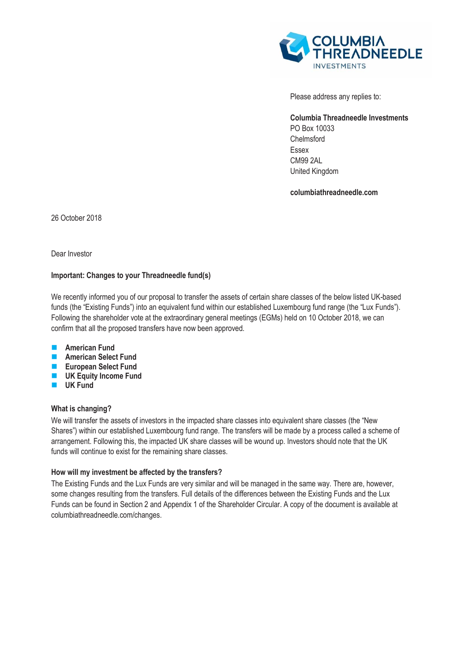

Please address any replies to:

**Columbia Threadneedle Investments**  PO Box 10033 Chelmsford Essex CM99 2AL United Kingdom

**columbiathreadneedle.com**

26 October 2018

Dear Investor

## **Important: Changes to your Threadneedle fund(s)**

We recently informed you of our proposal to transfer the assets of certain share classes of the below listed UK-based funds (the "Existing Funds") into an equivalent fund within our established Luxembourg fund range (the "Lux Funds"). Following the shareholder vote at the extraordinary general meetings (EGMs) held on 10 October 2018, we can confirm that all the proposed transfers have now been approved.

- **American Fund**
- **American Select Fund**
- **European Select Fund**
- **UK Equity Income Fund**
- **UK Fund**

# **What is changing?**

We will transfer the assets of investors in the impacted share classes into equivalent share classes (the "New Shares") within our established Luxembourg fund range. The transfers will be made by a process called a scheme of arrangement. Following this, the impacted UK share classes will be wound up. Investors should note that the UK funds will continue to exist for the remaining share classes.

### **How will my investment be affected by the transfers?**

The Existing Funds and the Lux Funds are very similar and will be managed in the same way. There are, however, some changes resulting from the transfers. Full details of the differences between the Existing Funds and the Lux Funds can be found in Section 2 and Appendix 1 of the Shareholder Circular. A copy of the document is available at [columbiathreadneedle.com/changes.](http://www.columbiathreadneedle.com/changes)